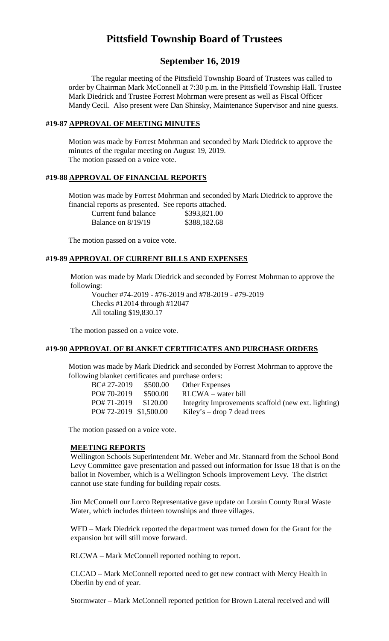# **Pittsfield Township Board of Trustees**

# **September 16, 2019**

The regular meeting of the Pittsfield Township Board of Trustees was called to order by Chairman Mark McConnell at 7:30 p.m. in the Pittsfield Township Hall. Trustee Mark Diedrick and Trustee Forrest Mohrman were present as well as Fiscal Officer Mandy Cecil. Also present were Dan Shinsky, Maintenance Supervisor and nine guests.

### **#19-87 APPROVAL OF MEETING MINUTES**

Motion was made by Forrest Mohrman and seconded by Mark Diedrick to approve the minutes of the regular meeting on August 19, 2019. The motion passed on a voice vote.

# **#19-88 APPROVAL OF FINANCIAL REPORTS**

Motion was made by Forrest Mohrman and seconded by Mark Diedrick to approve the financial reports as presented. See reports attached.

| Current fund balance | \$393,821.00 |
|----------------------|--------------|
| Balance on $8/19/19$ | \$388,182.68 |

The motion passed on a voice vote.

### **#19-89 APPROVAL OF CURRENT BILLS AND EXPENSES**

Motion was made by Mark Diedrick and seconded by Forrest Mohrman to approve the following:

Voucher #74-2019 - #76-2019 and #78-2019 - #79-2019 Checks #12014 through #12047 All totaling \$19,830.17

The motion passed on a voice vote.

### **#19-90 APPROVAL OF BLANKET CERTIFICATES AND PURCHASE ORDERS**

Motion was made by Mark Diedrick and seconded by Forrest Mohrman to approve the following blanket certificates and purchase orders:

| BC# 27-2019           | \$500.00 | <b>Other Expenses</b>                               |
|-----------------------|----------|-----------------------------------------------------|
| PO# 70-2019           | \$500.00 | $RLCWA - water$ bill                                |
| PO#71-2019 \$120.00   |          | Integrity Improvements scaffold (new ext. lighting) |
| PO#72-2019 \$1,500.00 |          | Kiley's – drop 7 dead trees                         |

The motion passed on a voice vote.

#### **MEETING REPORTS**

Wellington Schools Superintendent Mr. Weber and Mr. Stannard from the School Bond Levy Committee gave presentation and passed out information for Issue 18 that is on the ballot in November, which is a Wellington Schools Improvement Levy. The district cannot use state funding for building repair costs.

Jim McConnell our Lorco Representative gave update on Lorain County Rural Waste Water, which includes thirteen townships and three villages.

WFD – Mark Diedrick reported the department was turned down for the Grant for the expansion but will still move forward.

RLCWA – Mark McConnell reported nothing to report.

CLCAD – Mark McConnell reported need to get new contract with Mercy Health in Oberlin by end of year.

Stormwater – Mark McConnell reported petition for Brown Lateral received and will